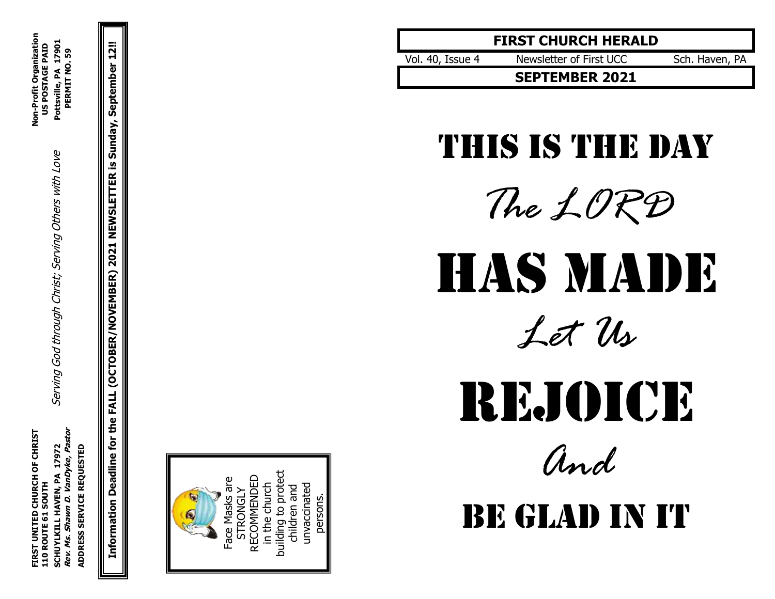**FIRST UNITED CHURCH OF CHRIST Non-Profit Organization Rev. Ms. Shawn D. VanDyke, Pastor PERMIT NO. 59** Rev. Ms. Shawn D. VanDyke, Pastor **FIRST UNITED CHURCH OF CHRIST** SCHUYLKILL HAVEN, PA 17972 **ADDRESS SERVICE REQUESTED ADDRESS SERVICE REQUESTED 110 ROUTE 61 SOUTH** 

**SCHUYLKILL HAVEN, PA 17972** Serving God through Christ; Serving Others with Love **Pottsville, PA 17901 110 ROUTE 61 SOUTH 61 SOUTH 61 SOUTH AT A complete that contract of the contract of the contract of the contract of the contract of the contract of the contract of the contract of the contract of the contract of the contr** Serving God through Christ; Serving Others with Love

Information Deadline for the FALL (OCTOBER/NOVEMBER) 2021 NEWSLETTER is Sunday, September 12!! **Information Deadline for the FALL (OCTOBER/NOVEMBER) 2021 NEWSLETTER is Sunday, September 12!!**



# **FIRST CHURCH HERALD**

Vol . 40, Issue Newsletter of First UCC Sch. Haven, PA

**SEPTEMBER 2021**

THIS IS THE DAY *The LORD* **HAS MADE** 

*Let Us*

**REJOICE** 

*And* 

BE GLAD IN IT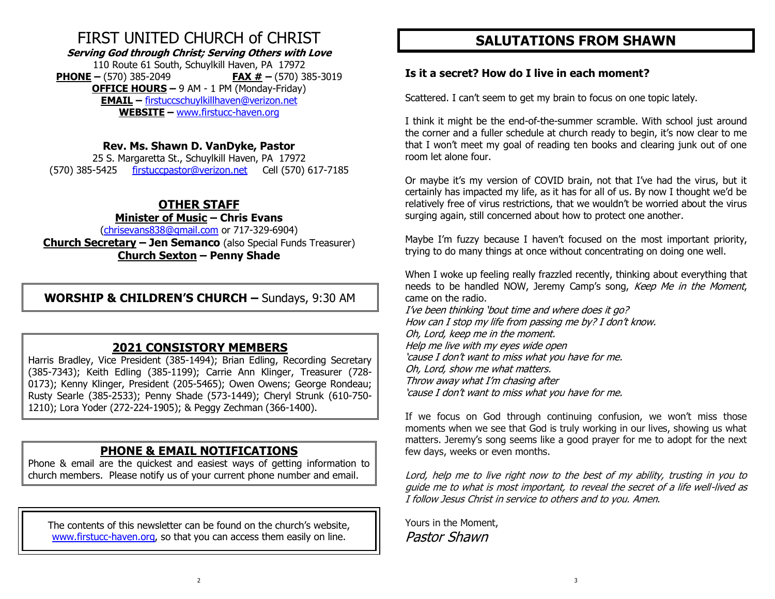# FIRST UNITED CHURCH of CHRIST

**Serving God through Christ; Serving Others with Love** 110 Route 61 South, Schuylkill Haven, PA 17972 **PHONE –** (570) 385-2049 **FAX # –** (570) 385-3019 **OFFICE HOURS –** 9 AM - 1 PM (Monday-Friday) **EMAIL –** [firstuccschuylkillhaven@verizon.net](mailto:firstuccschuylkillhaven@verizon.net) **WEBSITE –** [www.firstucc-haven.org](http://www.firstucc-haven.org/)

### **Rev. Ms. Shawn D. VanDyke, Pastor**

25 S. Margaretta St., Schuylkill Haven, PA 17972 (570) 385-5425 [firstuccpastor@verizon.net](mailto:firstuccpastor@verizon.net) Cell (570) 617-7185

### **OTHER STAFF**

**Minister of Music – Chris Evans**

[\(chrisevans838@gmail.com](mailto:chrisevans838@gmail.com) or 717-329-6904) **Church Secretary – Jen Semanco** (also Special Funds Treasurer) **Church Sexton – Penny Shade**

**WORSHIP & CHILDREN'S CHURCH –** Sundays, 9:30 AM

### **2021 CONSISTORY MEMBERS**

Harris Bradley, Vice President (385-1494); Brian Edling, Recording Secretary (385-7343); Keith Edling (385-1199); Carrie Ann Klinger, Treasurer (728- 0173); Kenny Klinger, President (205-5465); Owen Owens; George Rondeau; Rusty Searle (385-2533); Penny Shade (573-1449); Cheryl Strunk (610-750- 1210); Lora Yoder (272-224-1905); & Peggy Zechman (366-1400).

### **PHONE & EMAIL NOTIFICATIONS**

Phone & email are the quickest and easiest ways of getting information to church members. Please notify us of your current phone number and email.

The contents of this newsletter can be found on the church's website, [www.firstucc-haven.org,](http://www.firstucc-haven.org/) so that you can access them easily on line.

# **SALUTATIONS FROM SHAWN**

### **Is it a secret? How do I live in each moment?**

Scattered. I can't seem to get my brain to focus on one topic lately.

I think it might be the end-of-the-summer scramble. With school just around the corner and a fuller schedule at church ready to begin, it's now clear to me that I won't meet my goal of reading ten books and clearing junk out of one room let alone four.

Or maybe it's my version of COVID brain, not that I've had the virus, but it certainly has impacted my life, as it has for all of us. By now I thought we'd be relatively free of virus restrictions, that we wouldn't be worried about the virus surging again, still concerned about how to protect one another.

Maybe I'm fuzzy because I haven't focused on the most important priority, trying to do many things at once without concentrating on doing one well.

When I woke up feeling really frazzled recently, thinking about everything that needs to be handled NOW, Jeremy Camp's song, Keep Me in the Moment, came on the radio. I've been thinking 'bout time and where does it go? How can I stop my life from passing me by? I don't know. Oh, Lord, keep me in the moment.

Help me live with my eyes wide open 'cause I don't want to miss what you have for me. Oh, Lord, show me what matters. Throw away what I'm chasing after 'cause I don't want to miss what you have for me.

If we focus on God through continuing confusion, we won't miss those moments when we see that God is truly working in our lives, showing us what matters. Jeremy's song seems like a good prayer for me to adopt for the next few days, weeks or even months.

Lord, help me to live right now to the best of my ability, trusting in you to guide me to what is most important, to reveal the secret of a life well-lived as I follow Jesus Christ in service to others and to you. Amen.

Yours in the Moment, Pastor Shawn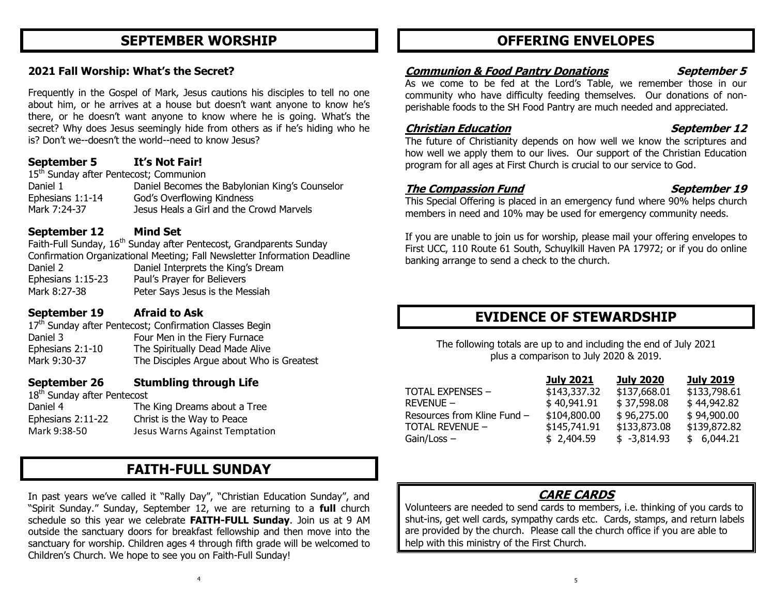## **SEPTEMBER WORSHIP**

### **2021 Fall Worship: What's the Secret?**

Frequently in the Gospel of Mark, Jesus cautions his disciples to tell no one about him, or he arrives at a house but doesn't want anyone to know he's there, or he doesn't want anyone to know where he is going. What's the secret? Why does Jesus seemingly hide from others as if he's hiding who he is? Don't we--doesn't the world--need to know Jesus?

#### **September 5 It's Not Fair!**

15<sup>th</sup> Sunday after Pentecost; Communion Daniel 1 **Daniel Becomes the Babylonian King's Counselor** Ephesians 1:1-14 God's Overflowing Kindness Mark 7:24-37 Jesus Heals a Girl and the Crowd Marvels

#### **September 12 Mind Set**

Faith-Full Sunday, 16<sup>th</sup> Sunday after Pentecost, Grandparents Sunday Confirmation Organizational Meeting; Fall Newsletter Information Deadline Daniel 2 Daniel Interprets the King's Dream Ephesians 1:15-23 Paul's Prayer for Believers Mark 8:27-38 Peter Says Jesus is the Messiah

#### **September 19 Afraid to Ask**

17<sup>th</sup> Sunday after Pentecost; Confirmation Classes Begin Daniel 3 **Four Men in the Fiery Furnace** Ephesians 2:1-10 The Spiritually Dead Made Alive Mark 9:30-37 The Disciples Argue about Who is Greatest

### **September 26 Stumbling through Life**

18<sup>th</sup> Sunday after Pentecost Daniel 4 The King Dreams about a Tree Ephesians 2:11-22 Christ is the Way to Peace Mark 9:38-50 Jesus Warns Against Temptation

## **FAITH-FULL SUNDAY**

In past years we've called it "Rally Day", "Christian Education Sunday", and "Spirit Sunday." Sunday, September 12, we are returning to a **full** church schedule so this year we celebrate **FAITH-FULL Sunday**. Join us at 9 AM outside the sanctuary doors for breakfast fellowship and then move into the sanctuary for worship. Children ages 4 through fifth grade will be welcomed to Children's Church. We hope to see you on Faith-Full Sunday!

# **OFFERING ENVELOPES**

#### **Communion & Food Pantry Donations September 5**

As we come to be fed at the Lord's Table, we remember those in our community who have difficulty feeding themselves. Our donations of nonperishable foods to the SH Food Pantry are much needed and appreciated.

#### **Christian Education September 12**

The future of Christianity depends on how well we know the scriptures and how well we apply them to our lives. Our support of the Christian Education program for all ages at First Church is crucial to our service to God.

#### **The Compassion Fund September 19**

This Special Offering is placed in an emergency fund where 90% helps church members in need and 10% may be used for emergency community needs.

If you are unable to join us for worship, please mail your offering envelopes to First UCC, 110 Route 61 South, Schuylkill Haven PA 17972; or if you do online banking arrange to send a check to the church.

### **EVIDENCE OF STEWARDSHIP**

The following totals are up to and including the end of July 2021 plus a comparison to July 2020 & 2019.

|                             | <b>July 2021</b> | <b>July 2020</b> | <b>July 2019</b> |
|-----------------------------|------------------|------------------|------------------|
| <b>TOTAL EXPENSES -</b>     | \$143,337.32     | \$137,668.01     | \$133,798.61     |
| $REVENUE -$                 | \$40,941.91      | \$37,598.08      | \$44,942.82      |
| Resources from Kline Fund - | \$104,800.00     | \$96,275.00      | \$94,900.00      |
| TOTAL REVENUE -             | \$145,741.91     | \$133,873.08     | \$139,872.82     |
| $Gain / Loss -$             | \$2,404.59       | $$ -3,814.93$    | \$6,044.21       |
|                             |                  |                  |                  |

### **CARE CARDS**

Volunteers are needed to send cards to members, i.e. thinking of you cards to shut-ins, get well cards, sympathy cards etc. Cards, stamps, and return labels are provided by the church. Please call the church office if you are able to help with this ministry of the First Church.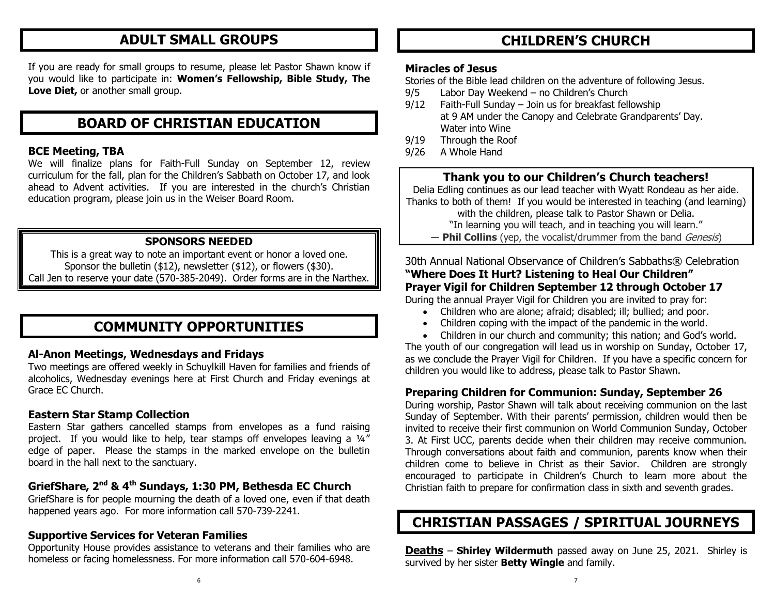# **ADULT SMALL GROUPS**

If you are ready for small groups to resume, please let Pastor Shawn know if you would like to participate in: **Women's Fellowship, Bible Study, The**  Love Diet, or another small group.

# **BOARD OF CHRISTIAN EDUCATION**

### **BCE Meeting, TBA**

We will finalize plans for Faith-Full Sunday on September 12, review curriculum for the fall, plan for the Children's Sabbath on October 17, and look ahead to Advent activities. If you are interested in the church's Christian education program, please join us in the Weiser Board Room.

### **SPONSORS NEEDED**

This is a great way to note an important event or honor a loved one. Sponsor the bulletin (\$12), newsletter (\$12), or flowers (\$30). Call Jen to reserve your date (570-385-2049). Order forms are in the Narthex.

# **COMMUNITY OPPORTUNITIES**

### **Al-Anon Meetings, Wednesdays and Fridays**

Two meetings are offered weekly in Schuylkill Haven for families and friends of alcoholics, Wednesday evenings here at First Church and Friday evenings at Grace EC Church.

### **Eastern Star Stamp Collection**

Eastern Star gathers cancelled stamps from envelopes as a fund raising project. If you would like to help, tear stamps off envelopes leaving a ¼" edge of paper. Please the stamps in the marked envelope on the bulletin board in the hall next to the sanctuary.

### **GriefShare, 2nd & 4th Sundays, 1:30 PM, Bethesda EC Church**

GriefShare is for people mourning the death of a loved one, even if that death happened years ago. For more information call 570-739-2241.

### **Supportive Services for Veteran Families**

Opportunity House provides assistance to veterans and their families who are homeless or facing homelessness. For more information call 570-604-6948.

# **CHILDREN'S CHURCH**

### **Miracles of Jesus**

Stories of the Bible lead children on the adventure of following Jesus.

- 9/5 Labor Day Weekend no Children's Church
- 9/12 Faith-Full Sunday Join us for breakfast fellowship at 9 AM under the Canopy and Celebrate Grandparents' Day. Water into Wine
- 9/19 Through the Roof
- 9/26 A Whole Hand

### **Thank you to our Children's Church teachers!**

Delia Edling continues as our lead teacher with Wyatt Rondeau as her aide.

Thanks to both of them! If you would be interested in teaching (and learning)

with the children, please talk to Pastor Shawn or Delia.

"In learning you will teach, and in teaching you will learn."

― **Phil Collins** (yep, the vocalist/drummer from the band Genesis)

### 30th Annual National Observance of Children's Sabbaths® Celebration **"Where Does It Hurt? Listening to Heal Our Children" Prayer Vigil for Children September 12 through October 17**

During the annual Prayer Vigil for Children you are invited to pray for:

- Children who are alone; afraid; disabled; ill; bullied; and poor.
- Children coping with the impact of the pandemic in the world.
- Children in our church and community; this nation; and God's world.

The youth of our congregation will lead us in worship on Sunday, October 17, as we conclude the Prayer Vigil for Children. If you have a specific concern for children you would like to address, please talk to Pastor Shawn.

### **Preparing Children for Communion: Sunday, September 26**

During worship, Pastor Shawn will talk about receiving communion on the last Sunday of September. With their parents' permission, children would then be invited to receive their first communion on World Communion Sunday, October 3. At First UCC, parents decide when their children may receive communion. Through conversations about faith and communion, parents know when their children come to believe in Christ as their Savior. Children are strongly encouraged to participate in Children's Church to learn more about the Christian faith to prepare for confirmation class in sixth and seventh grades.

# **CHRISTIAN PASSAGES / SPIRITUAL JOURNEYS**

**Deaths** – **Shirley Wildermuth** passed away on June 25, 2021. Shirley is survived by her sister **Betty Wingle** and family.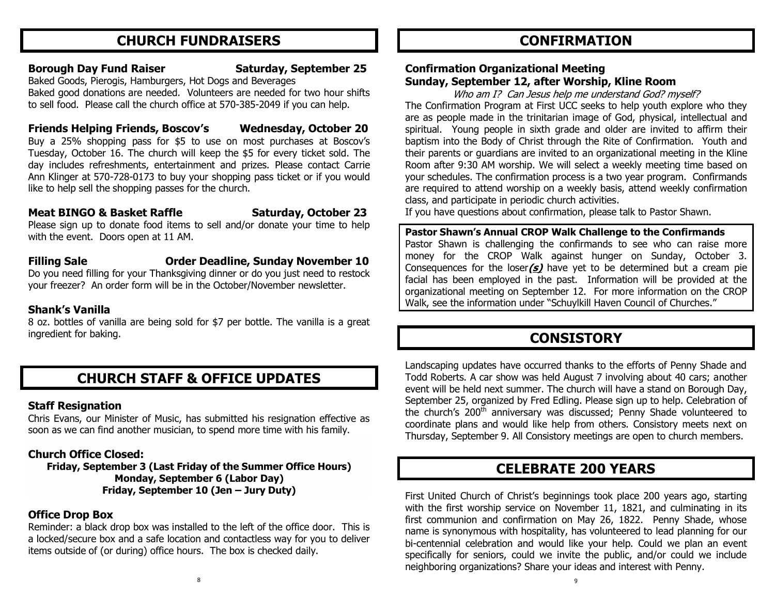# **CHURCH FUNDRAISERS**

#### **Borough Day Fund Raiser Saturday, September 25**

Baked Goods, Pierogis, Hamburgers, Hot Dogs and Beverages Baked good donations are needed. Volunteers are needed for two hour shifts to sell food. Please call the church office at 570-385-2049 if you can help.

### **Friends Helping Friends, Boscov's Wednesday, October 20**

Buy a 25% shopping pass for \$5 to use on most purchases at Boscov's Tuesday, October 16. The church will keep the \$5 for every ticket sold. The day includes refreshments, entertainment and prizes. Please contact Carrie Ann Klinger at 570-728-0173 to buy your shopping pass ticket or if you would like to help sell the shopping passes for the church.

### **Meat BINGO & Basket Raffle Saturday, October 23**

Please sign up to donate food items to sell and/or donate your time to help with the event. Doors open at 11 AM.

### **Filling Sale Order Deadline, Sunday November 10**

Do you need filling for your Thanksgiving dinner or do you just need to restock your freezer? An order form will be in the October/November newsletter.

### **Shank's Vanilla**

8 oz. bottles of vanilla are being sold for \$7 per bottle. The vanilla is a great ingredient for baking.

# **CHURCH STAFF & OFFICE UPDATES**

### **Staff Resignation**

Chris Evans, our Minister of Music, has submitted his resignation effective as soon as we can find another musician, to spend more time with his family.

### **Church Office Closed:**

**Friday, September 3 (Last Friday of the Summer Office Hours) Monday, September 6 (Labor Day) Friday, September 10 (Jen – Jury Duty)**

### **Office Drop Box**

Reminder: a black drop box was installed to the left of the office door. This is a locked/secure box and a safe location and contactless way for you to deliver items outside of (or during) office hours. The box is checked daily.

# **CONFIRMATION**

### **Confirmation Organizational Meeting Sunday, September 12, after Worship, Kline Room**

Who am I? Can Jesus help me understand God? myself? The Confirmation Program at First UCC seeks to help youth explore who they are as people made in the trinitarian image of God, physical, intellectual and spiritual. Young people in sixth grade and older are invited to affirm their baptism into the Body of Christ through the Rite of Confirmation. Youth and their parents or guardians are invited to an organizational meeting in the Kline Room after 9:30 AM worship. We will select a weekly meeting time based on your schedules. The confirmation process is a two year program. Confirmands are required to attend worship on a weekly basis, attend weekly confirmation class, and participate in periodic church activities.

If you have questions about confirmation, please talk to Pastor Shawn.

#### **Pastor Shawn's Annual CROP Walk Challenge to the Confirmands**

Pastor Shawn is challenging the confirmands to see who can raise more money for the CROP Walk against hunger on Sunday, October 3. Consequences for the loser**(s)** have yet to be determined but a cream pie facial has been employed in the past. Information will be provided at the organizational meeting on September 12. For more information on the CROP Walk, see the information under "Schuylkill Haven Council of Churches."

# **CONSISTORY**

Landscaping updates have occurred thanks to the efforts of Penny Shade and Todd Roberts. A car show was held August 7 involving about 40 cars; another event will be held next summer. The church will have a stand on Borough Day, September 25, organized by Fred Edling. Please sign up to help. Celebration of the church's  $200^{\overline{th}}$  anniversary was discussed; Penny Shade volunteered to coordinate plans and would like help from others. Consistory meets next on Thursday, September 9. All Consistory meetings are open to church members.

# **CELEBRATE 200 YEARS**

First United Church of Christ's beginnings took place 200 years ago, starting with the first worship service on November 11, 1821, and culminating in its first communion and confirmation on May 26, 1822. Penny Shade, whose name is synonymous with hospitality, has volunteered to lead planning for our bi-centennial celebration and would like your help. Could we plan an event specifically for seniors, could we invite the public, and/or could we include neighboring organizations? Share your ideas and interest with Penny.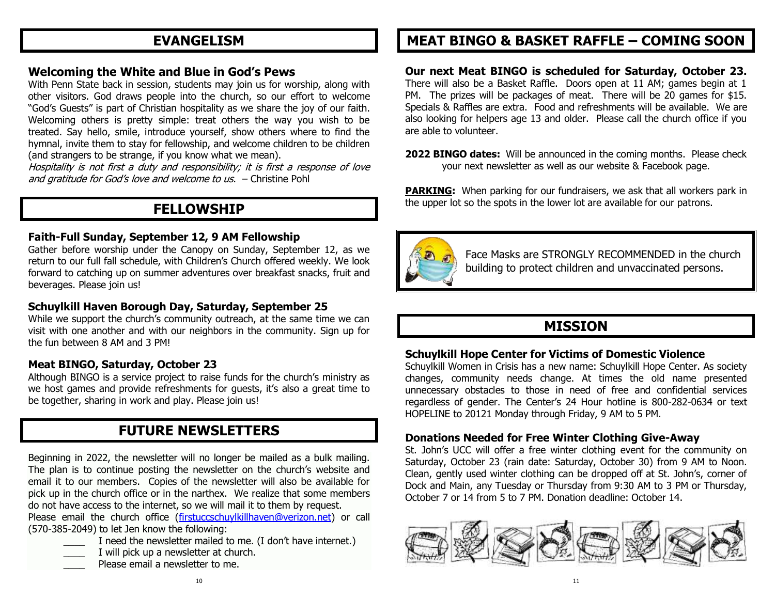# **EVANGELISM**

### **Welcoming the White and Blue in God's Pews**

With Penn State back in session, students may join us for worship, along with other visitors. God draws people into the church, so our effort to welcome "God's Guests" is part of Christian hospitality as we share the joy of our faith. Welcoming others is pretty simple: treat others the way you wish to be treated. Say hello, smile, introduce yourself, show others where to find the hymnal, invite them to stay for fellowship, and welcome children to be children (and strangers to be strange, if you know what we mean).

Hospitality is not first a duty and responsibility; it is first a response of love and gratitude for God's love and welcome to us. – Christine Pohl

# **FELLOWSHIP**

### **Faith-Full Sunday, September 12, 9 AM Fellowship**

Gather before worship under the Canopy on Sunday, September 12, as we return to our full fall schedule, with Children's Church offered weekly. We look forward to catching up on summer adventures over breakfast snacks, fruit and beverages. Please join us!

### **Schuylkill Haven Borough Day, Saturday, September 25**

While we support the church's community outreach, at the same time we can visit with one another and with our neighbors in the community. Sign up for the fun between 8 AM and 3 PM!

### **Meat BINGO, Saturday, October 23**

Although BINGO is a service project to raise funds for the church's ministry as we host games and provide refreshments for guests, it's also a great time to be together, sharing in work and play. Please join us!

# **FUTURE NEWSLETTERS**

Beginning in 2022, the newsletter will no longer be mailed as a bulk mailing. The plan is to continue posting the newsletter on the church's website and email it to our members. Copies of the newsletter will also be available for pick up in the church office or in the narthex. We realize that some members do not have access to the internet, so we will mail it to them by request.

Please email the church office [\(firstuccschuylkillhaven@verizon.net\)](mailto:firstuccschuylkillhaven@verizon.net) or call (570-385-2049) to let Jen know the following:

- I need the newsletter mailed to me. (I don't have internet.)
	- I will pick up a newsletter at church.
	- Please email a newsletter to me.

# **MEAT BINGO & BASKET RAFFLE – COMING SOON**

### **Our next Meat BINGO is scheduled for Saturday, October 23.**

There will also be a Basket Raffle. Doors open at 11 AM; games begin at 1 PM. The prizes will be packages of meat. There will be 20 games for \$15. Specials & Raffles are extra. Food and refreshments will be available. We are also looking for helpers age 13 and older. Please call the church office if you are able to volunteer.

**2022 BINGO dates:** Will be announced in the coming months. Please check your next newsletter as well as our website & Facebook page.

**PARKING:** When parking for our fundraisers, we ask that all workers park in the upper lot so the spots in the lower lot are available for our patrons.



 Face Masks are STRONGLY RECOMMENDED in the church building to protect children and unvaccinated persons.

# **MISSION**

### **Schuylkill Hope Center for Victims of Domestic Violence**

Schuylkill Women in Crisis has a new name: Schuylkill Hope Center. As society changes, community needs change. At times the old name presented unnecessary obstacles to those in need of free and confidential services regardless of gender. The Center's 24 Hour hotline is 800-282-0634 or text HOPELINE to 20121 Monday through Friday, 9 AM to 5 PM.

### **Donations Needed for Free Winter Clothing Give-Away**

St. John's UCC will offer a free winter clothing event for the community on Saturday, October 23 (rain date: Saturday, October 30) from 9 AM to Noon. Clean, gently used winter clothing can be dropped off at St. John's, corner of Dock and Main, any Tuesday or Thursday from 9:30 AM to 3 PM or Thursday, October 7 or 14 from 5 to 7 PM. Donation deadline: October 14.

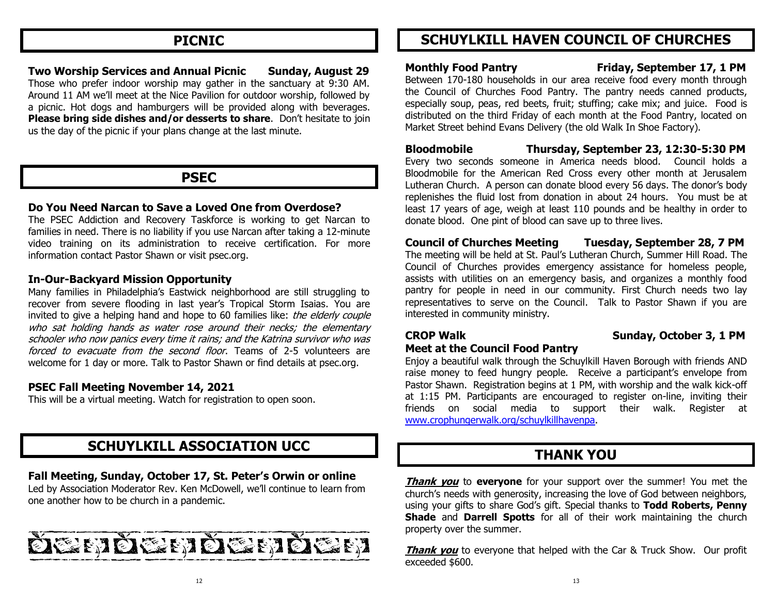# **PICNIC**

**Two Worship Services and Annual Picnic Sunday, August 29** Those who prefer indoor worship may gather in the sanctuary at 9:30 AM. Around 11 AM we'll meet at the Nice Pavilion for outdoor worship, followed by a picnic. Hot dogs and hamburgers will be provided along with beverages. **Please bring side dishes and/or desserts to share**. Don't hesitate to join us the day of the picnic if your plans change at the last minute.

### **PSEC**

### **Do You Need Narcan to Save a Loved One from Overdose?**

The PSEC Addiction and Recovery Taskforce is working to get Narcan to families in need. There is no liability if you use Narcan after taking a 12-minute video training on its administration to receive certification. For more information contact Pastor Shawn or visit psec.org.

### **In-Our-Backyard Mission Opportunity**

Many families in Philadelphia's Eastwick neighborhood are still struggling to recover from severe flooding in last year's Tropical Storm Isaias. You are invited to give a helping hand and hope to 60 families like: *the elderly couple* who sat holding hands as water rose around their necks; the elementary schooler who now panics every time it rains; and the Katrina survivor who was forced to evacuate from the second floor. Teams of 2-5 volunteers are welcome for 1 day or more. Talk to Pastor Shawn or find details at psec.org.

### **PSEC Fall Meeting November 14, 2021**

This will be a virtual meeting. Watch for registration to open soon.

# **SCHUYLKILL ASSOCIATION UCC**

### **Fall Meeting, Sunday, October 17, St. Peter's Orwin or online**

Led by Association Moderator Rev. Ken McDowell, we'll continue to learn from one another how to be church in a pandemic.



# **SCHUYLKILL HAVEN COUNCIL OF CHURCHES**

#### **Monthly Food Pantry Friday, September 17, 1 PM**

Between 170-180 households in our area receive food every month through the Council of Churches Food Pantry. The pantry needs canned products, especially soup, peas, red beets, fruit; stuffing; cake mix; and juice. Food is distributed on the third Friday of each month at the Food Pantry, located on Market Street behind Evans Delivery (the old Walk In Shoe Factory).

**Bloodmobile Thursday, September 23, 12:30-5:30 PM** Every two seconds someone in America needs blood. Council holds a Bloodmobile for the American Red Cross every other month at Jerusalem Lutheran Church. A person can donate blood every 56 days. The donor's body replenishes the fluid lost from donation in about 24 hours. You must be at least 17 years of age, weigh at least 110 pounds and be healthy in order to donate blood. One pint of blood can save up to three lives.

**Council of Churches Meeting Tuesday, September 28, 7 PM** The meeting will be held at St. Paul's Lutheran Church, Summer Hill Road. The Council of Churches provides emergency assistance for homeless people, assists with utilities on an emergency basis, and organizes a monthly food pantry for people in need in our community. First Church needs two lay representatives to serve on the Council. Talk to Pastor Shawn if you are interested in community ministry.

### **CROP Walk Sunday, October 3, 1 PM**

### **Meet at the Council Food Pantry**

Enjoy a beautiful walk through the Schuylkill Haven Borough with friends AND raise money to feed hungry people. Receive a participant's envelope from Pastor Shawn. Registration begins at 1 PM, with worship and the walk kick-off at 1:15 PM. Participants are encouraged to register on-line, inviting their friends on social media to support their walk. Register at [www.crophungerwalk.org/schuylkillhavenpa.](http://www.crophungerwalk.org/schuylkillhavenpa)

### **THANK YOU**

**Thank you** to **everyone** for your support over the summer! You met the church's needs with generosity, increasing the love of God between neighbors, using your gifts to share God's gift. Special thanks to **Todd Roberts, Penny Shade** and **Darrell Spotts** for all of their work maintaining the church property over the summer.

**Thank you** to everyone that helped with the Car & Truck Show. Our profit exceeded \$600.